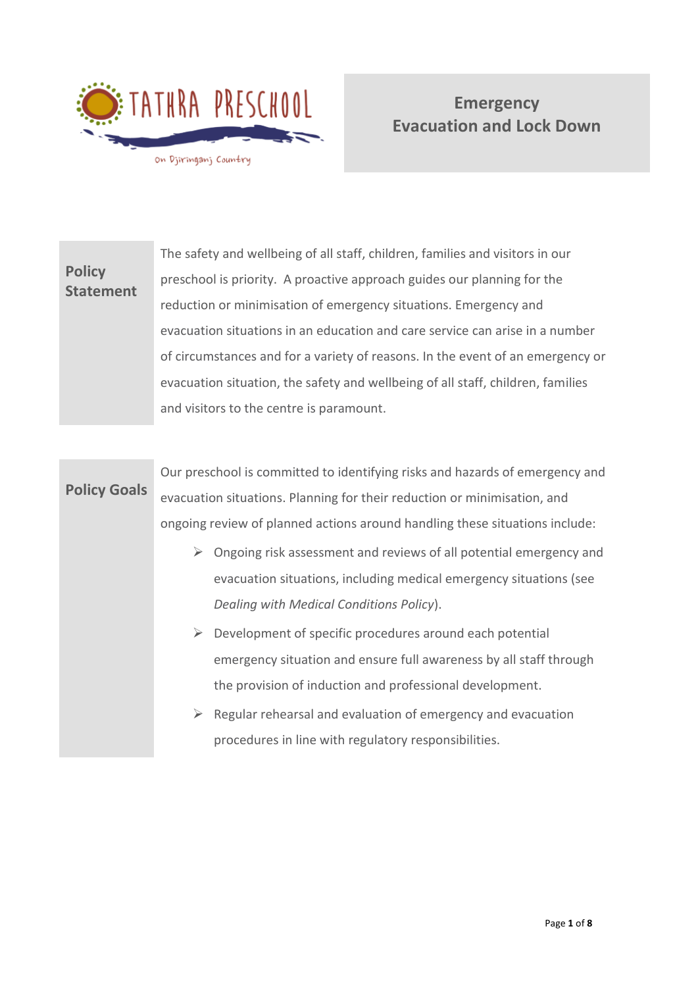

**Policy**

# **Emergency Evacuation and Lock Down**

**Statement** The safety and wellbeing of all staff, children, families and visitors in our preschool is priority. A proactive approach guides our planning for the reduction or minimisation of emergency situations. Emergency and evacuation situations in an education and care service can arise in a number of circumstances and for a variety of reasons. In the event of an emergency or evacuation situation, the safety and wellbeing of all staff, children, families and visitors to the centre is paramount.

**Policy Goals** Our preschool is committed to identifying risks and hazards of emergency and evacuation situations. Planning for their reduction or minimisation, and ongoing review of planned actions around handling these situations include:

- $\triangleright$  Ongoing risk assessment and reviews of all potential emergency and evacuation situations, including medical emergency situations (see *Dealing with Medical Conditions Policy*).
- $\triangleright$  Development of specific procedures around each potential emergency situation and ensure full awareness by all staff through the provision of induction and professional development.
- $\triangleright$  Regular rehearsal and evaluation of emergency and evacuation procedures in line with regulatory responsibilities.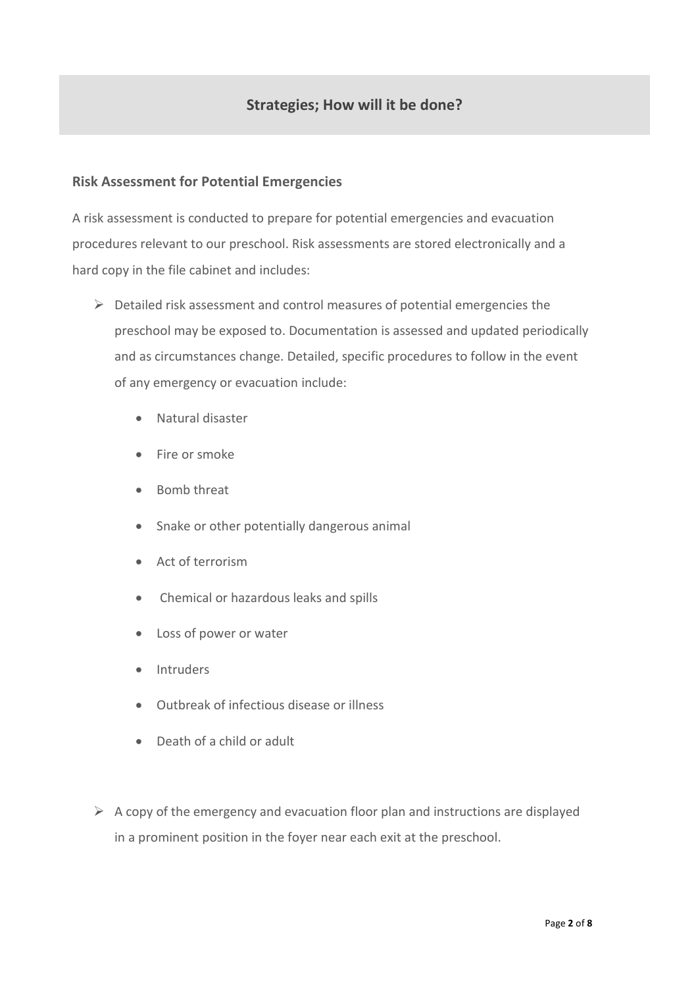## **Strategies; How will it be done?**

## **Risk Assessment for Potential Emergencies**

A risk assessment is conducted to prepare for potential emergencies and evacuation procedures relevant to our preschool. Risk assessments are stored electronically and a hard copy in the file cabinet and includes:

- ➢ Detailed risk assessment and control measures of potential emergencies the preschool may be exposed to. Documentation is assessed and updated periodically and as circumstances change. Detailed, specific procedures to follow in the event of any emergency or evacuation include:
	- Natural disaster
	- Fire or smoke
	- Bomb threat
	- Snake or other potentially dangerous animal
	- Act of terrorism
	- Chemical or hazardous leaks and spills
	- Loss of power or water
	- Intruders
	- Outbreak of infectious disease or illness
	- Death of a child or adult
- $\triangleright$  A copy of the emergency and evacuation floor plan and instructions are displayed in a prominent position in the foyer near each exit at the preschool.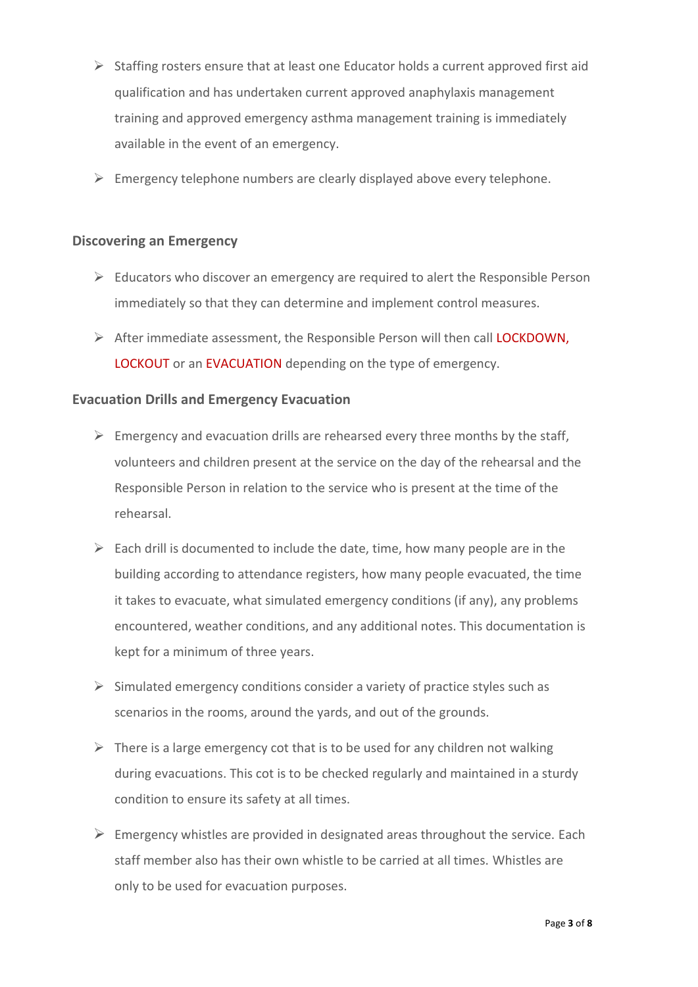- ➢ Staffing rosters ensure that at least one Educator holds a current approved first aid qualification and has undertaken current approved anaphylaxis management training and approved emergency asthma management training is immediately available in the event of an emergency.
- $\triangleright$  Emergency telephone numbers are clearly displayed above every telephone.

## **Discovering an Emergency**

- $\triangleright$  Educators who discover an emergency are required to alert the Responsible Person immediately so that they can determine and implement control measures.
- ➢ After immediate assessment, the Responsible Person will then call LOCKDOWN, LOCKOUT or an EVACUATION depending on the type of emergency.

## **Evacuation Drills and Emergency Evacuation**

- $\triangleright$  Emergency and evacuation drills are rehearsed every three months by the staff, volunteers and children present at the service on the day of the rehearsal and the Responsible Person in relation to the service who is present at the time of the rehearsal.
- $\triangleright$  Each drill is documented to include the date, time, how many people are in the building according to attendance registers, how many people evacuated, the time it takes to evacuate, what simulated emergency conditions (if any), any problems encountered, weather conditions, and any additional notes. This documentation is kept for a minimum of three years.
- $\triangleright$  Simulated emergency conditions consider a variety of practice styles such as scenarios in the rooms, around the yards, and out of the grounds.
- $\triangleright$  There is a large emergency cot that is to be used for any children not walking during evacuations. This cot is to be checked regularly and maintained in a sturdy condition to ensure its safety at all times.
- $\triangleright$  Emergency whistles are provided in designated areas throughout the service. Each staff member also has their own whistle to be carried at all times. Whistles are only to be used for evacuation purposes.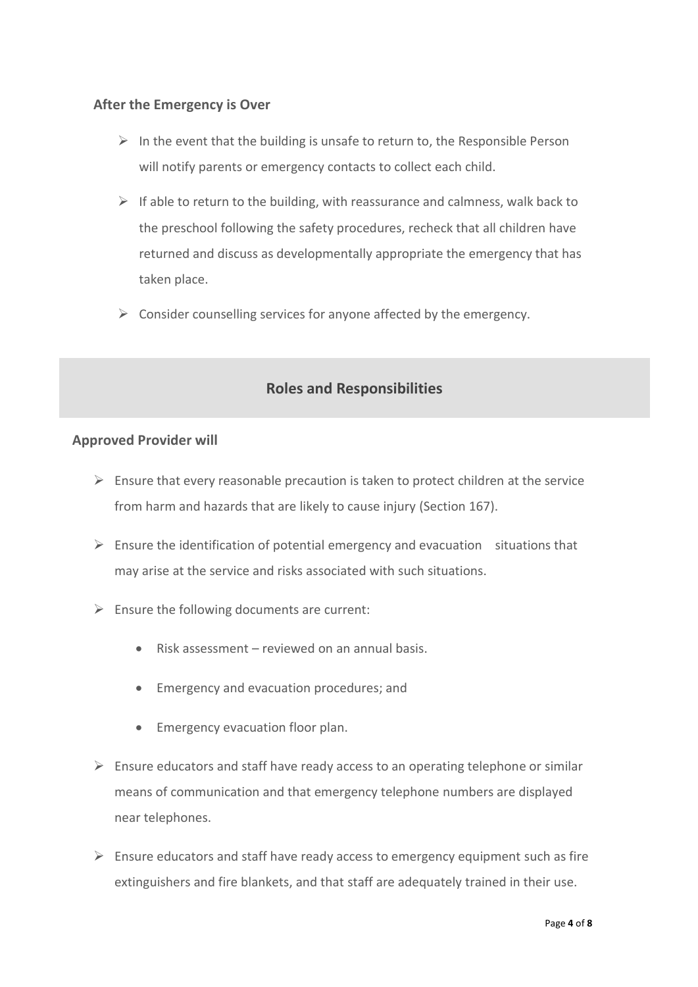## **After the Emergency is Over**

- $\triangleright$  In the event that the building is unsafe to return to, the Responsible Person will notify parents or emergency contacts to collect each child.
- $\triangleright$  If able to return to the building, with reassurance and calmness, walk back to the preschool following the safety procedures, recheck that all children have returned and discuss as developmentally appropriate the emergency that has taken place.
- $\triangleright$  Consider counselling services for anyone affected by the emergency.

## **Roles and Responsibilities**

#### **Approved Provider will**

- $\triangleright$  Ensure that every reasonable precaution is taken to protect children at the service from harm and hazards that are likely to cause injury (Section 167).
- $\triangleright$  Ensure the identification of potential emergency and evacuation situations that may arise at the service and risks associated with such situations.
- $\triangleright$  Ensure the following documents are current:
	- Risk assessment reviewed on an annual basis.
	- Emergency and evacuation procedures; and
	- Emergency evacuation floor plan.
- $\triangleright$  Ensure educators and staff have ready access to an operating telephone or similar means of communication and that emergency telephone numbers are displayed near telephones.
- $\triangleright$  Ensure educators and staff have ready access to emergency equipment such as fire extinguishers and fire blankets, and that staff are adequately trained in their use.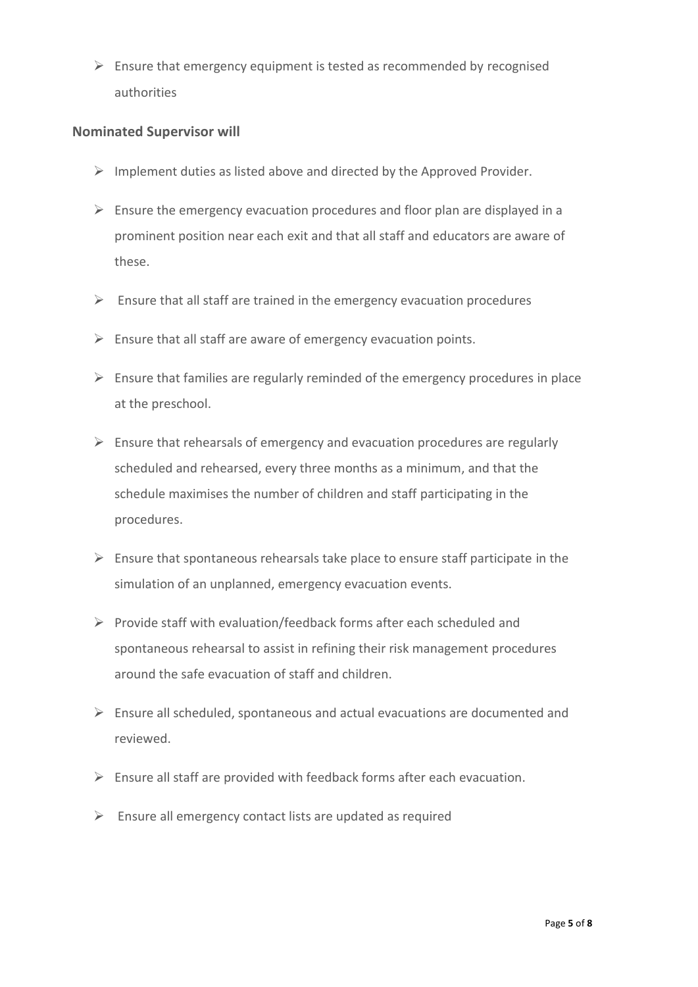$\triangleright$  Ensure that emergency equipment is tested as recommended by recognised authorities

## **Nominated Supervisor will**

- $\triangleright$  Implement duties as listed above and directed by the Approved Provider.
- $\triangleright$  Ensure the emergency evacuation procedures and floor plan are displayed in a prominent position near each exit and that all staff and educators are aware of these.
- $\triangleright$  Ensure that all staff are trained in the emergency evacuation procedures
- $\triangleright$  Ensure that all staff are aware of emergency evacuation points.
- $\triangleright$  Ensure that families are regularly reminded of the emergency procedures in place at the preschool.
- $\triangleright$  Ensure that rehearsals of emergency and evacuation procedures are regularly scheduled and rehearsed, every three months as a minimum, and that the schedule maximises the number of children and staff participating in the procedures.
- $\triangleright$  Ensure that spontaneous rehearsals take place to ensure staff participate in the simulation of an unplanned, emergency evacuation events.
- ➢ Provide staff with evaluation/feedback forms after each scheduled and spontaneous rehearsal to assist in refining their risk management procedures around the safe evacuation of staff and children.
- $\triangleright$  Ensure all scheduled, spontaneous and actual evacuations are documented and reviewed.
- $\triangleright$  Ensure all staff are provided with feedback forms after each evacuation.
- $\triangleright$  Ensure all emergency contact lists are updated as required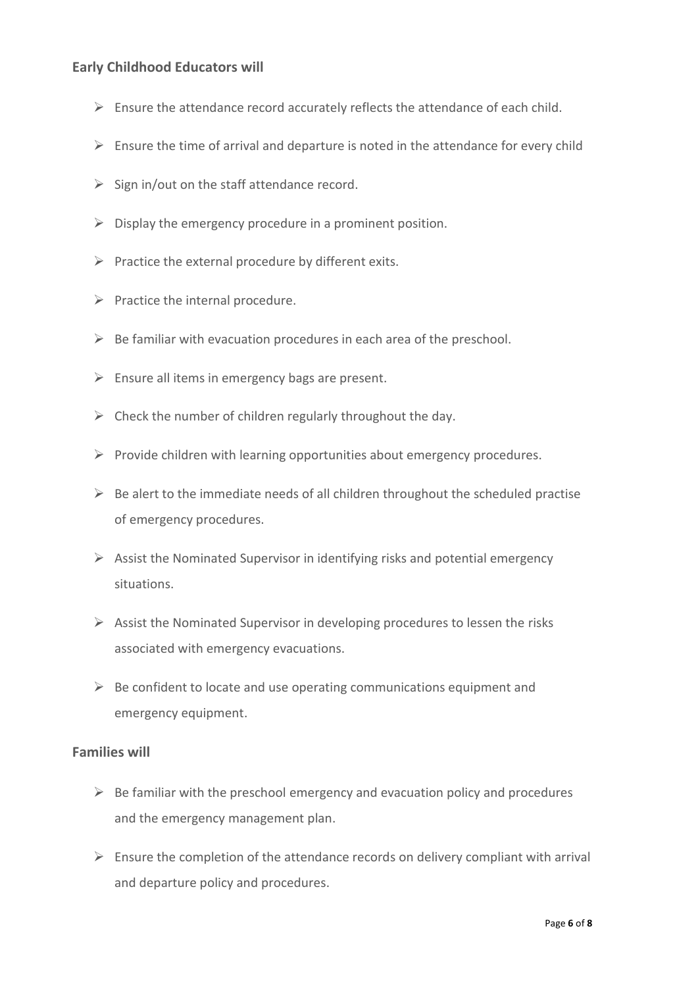## **Early Childhood Educators will**

- $\triangleright$  Ensure the attendance record accurately reflects the attendance of each child.
- $\triangleright$  Ensure the time of arrival and departure is noted in the attendance for every child
- $\triangleright$  Sign in/out on the staff attendance record.
- $\triangleright$  Display the emergency procedure in a prominent position.
- $\triangleright$  Practice the external procedure by different exits.
- $\triangleright$  Practice the internal procedure.
- $\triangleright$  Be familiar with evacuation procedures in each area of the preschool.
- $\triangleright$  Ensure all items in emergency bags are present.
- $\triangleright$  Check the number of children regularly throughout the day.
- ➢ Provide children with learning opportunities about emergency procedures.
- $\triangleright$  Be alert to the immediate needs of all children throughout the scheduled practise of emergency procedures.
- $\triangleright$  Assist the Nominated Supervisor in identifying risks and potential emergency situations.
- $\triangleright$  Assist the Nominated Supervisor in developing procedures to lessen the risks associated with emergency evacuations.
- $\triangleright$  Be confident to locate and use operating communications equipment and emergency equipment.

## **Families will**

- $\triangleright$  Be familiar with the preschool emergency and evacuation policy and procedures and the emergency management plan.
- $\triangleright$  Ensure the completion of the attendance records on delivery compliant with arrival and departure policy and procedures.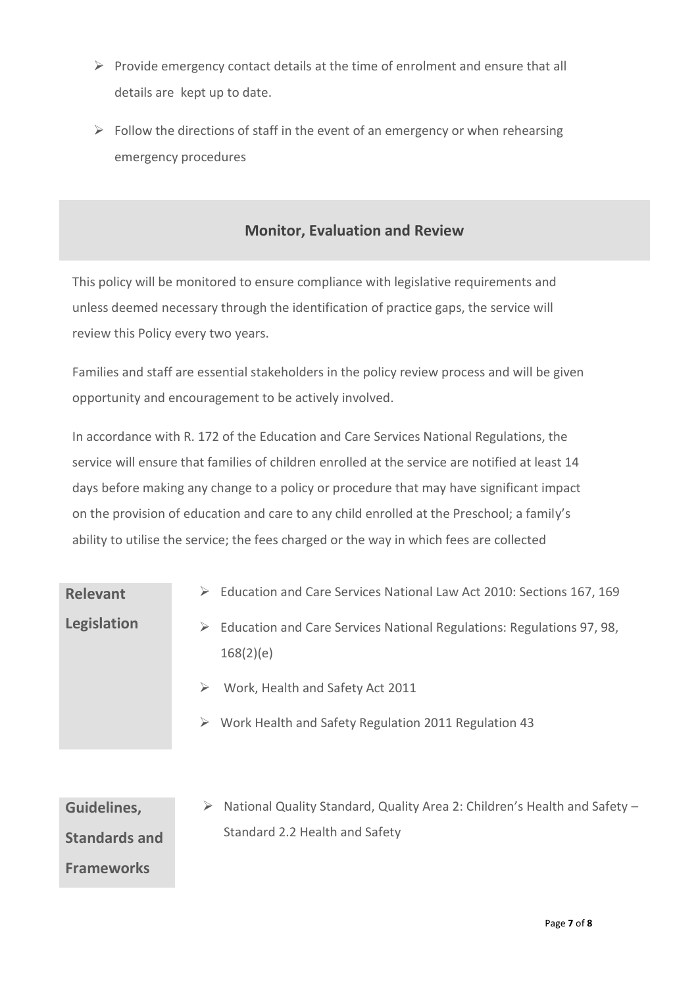- $\triangleright$  Provide emergency contact details at the time of enrolment and ensure that all details are kept up to date.
- $\triangleright$  Follow the directions of staff in the event of an emergency or when rehearsing emergency procedures

## **Monitor, Evaluation and Review**

This policy will be monitored to ensure compliance with legislative requirements and unless deemed necessary through the identification of practice gaps, the service will review this Policy every two years.

Families and staff are essential stakeholders in the policy review process and will be given opportunity and encouragement to be actively involved.

In accordance with R. 172 of the Education and Care Services National Regulations, the service will ensure that families of children enrolled at the service are notified at least 14 days before making any change to a policy or procedure that may have significant impact on the provision of education and care to any child enrolled at the Preschool; a family's ability to utilise the service; the fees charged or the way in which fees are collected

| <b>Relevant</b>      | Education and Care Services National Law Act 2010: Sections 167, 169<br>➤                                                        |
|----------------------|----------------------------------------------------------------------------------------------------------------------------------|
| Legislation          | Education and Care Services National Regulations: Regulations 97, 98,<br>⋗<br>168(2)(e)<br>Work, Health and Safety Act 2011<br>➤ |
|                      | Work Health and Safety Regulation 2011 Regulation 43<br>➤                                                                        |
| Guidelines,          | National Quality Standard, Quality Area 2: Children's Health and Safety -                                                        |
| <b>Standards and</b> | Standard 2.2 Health and Safety                                                                                                   |
| <b>Frameworks</b>    |                                                                                                                                  |